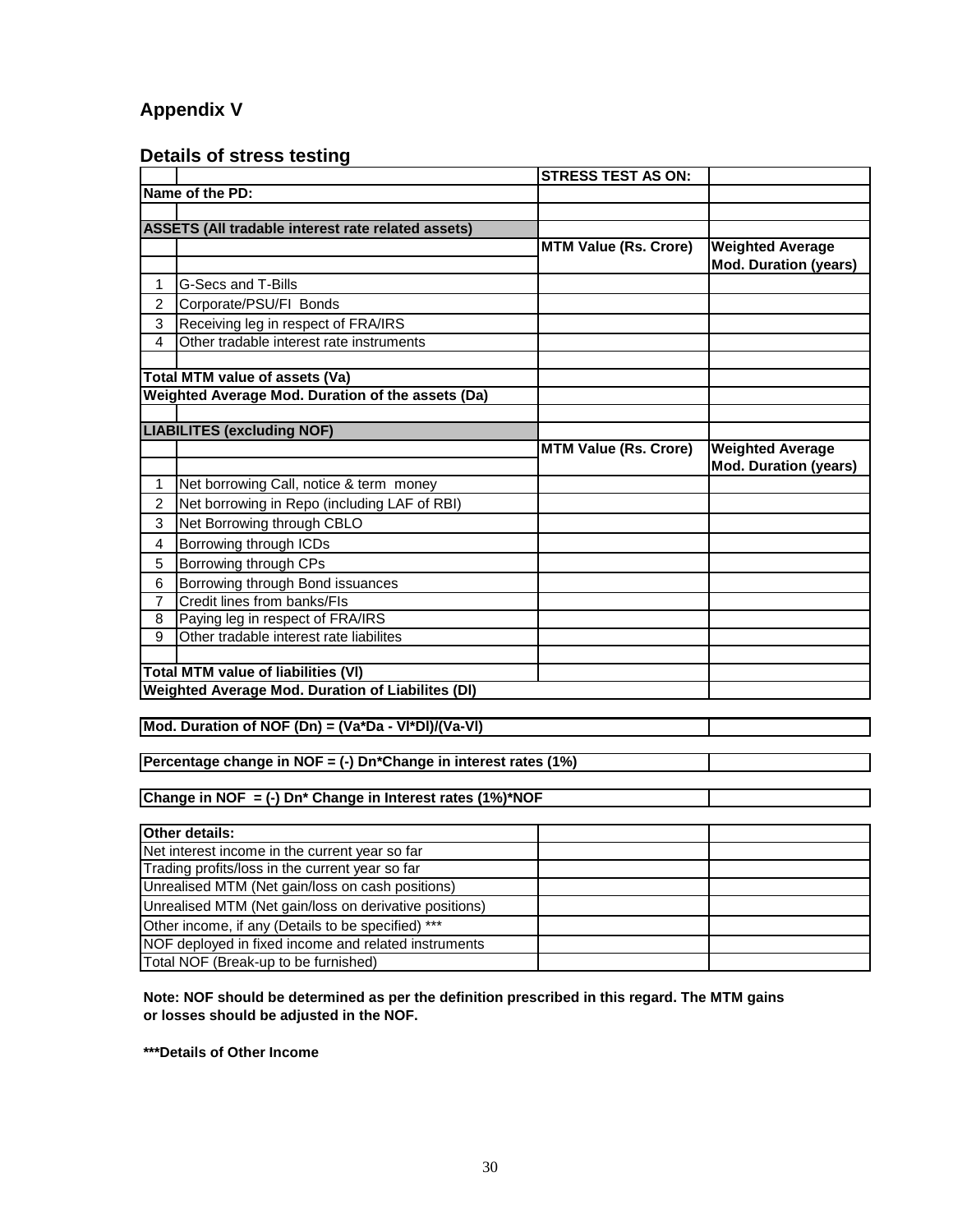## **Appendix V**

## **Details of stress testing**

|                |                                                                 | <b>STRESS TEST AS ON:</b>    |                              |
|----------------|-----------------------------------------------------------------|------------------------------|------------------------------|
|                | Name of the PD:                                                 |                              |                              |
|                |                                                                 |                              |                              |
|                | ASSETS (All tradable interest rate related assets)              |                              |                              |
|                |                                                                 | <b>MTM Value (Rs. Crore)</b> | <b>Weighted Average</b>      |
|                |                                                                 |                              | <b>Mod. Duration (years)</b> |
| 1              | G-Secs and T-Bills                                              |                              |                              |
| 2              | Corporate/PSU/FI Bonds                                          |                              |                              |
| 3              | Receiving leg in respect of FRA/IRS                             |                              |                              |
| 4              | Other tradable interest rate instruments                        |                              |                              |
|                |                                                                 |                              |                              |
|                | Total MTM value of assets (Va)                                  |                              |                              |
|                | Weighted Average Mod. Duration of the assets (Da)               |                              |                              |
|                |                                                                 |                              |                              |
|                | <b>LIABILITES (excluding NOF)</b>                               |                              |                              |
|                |                                                                 | <b>MTM Value (Rs. Crore)</b> | <b>Weighted Average</b>      |
|                |                                                                 |                              | <b>Mod. Duration (years)</b> |
| 1              | Net borrowing Call, notice & term money                         |                              |                              |
| 2              | Net borrowing in Repo (including LAF of RBI)                    |                              |                              |
| 3              | Net Borrowing through CBLO                                      |                              |                              |
| 4              | Borrowing through ICDs                                          |                              |                              |
| $\mathbf 5$    | Borrowing through CPs                                           |                              |                              |
| $\,6$          | Borrowing through Bond issuances                                |                              |                              |
| 7              | Credit lines from banks/FIs                                     |                              |                              |
| $\overline{8}$ | Paying leg in respect of FRA/IRS                                |                              |                              |
| 9              | Other tradable interest rate liabilites                         |                              |                              |
|                |                                                                 |                              |                              |
|                | <b>Total MTM value of liabilities (VI)</b>                      |                              |                              |
|                | <b>Weighted Average Mod. Duration of Liabilites (DI)</b>        |                              |                              |
|                |                                                                 |                              |                              |
|                | Mod. Duration of NOF (Dn) = (Va*Da - VI*DI)/(Va-VI)             |                              |                              |
|                |                                                                 |                              |                              |
|                | Percentage change in NOF = (-) Dn*Change in interest rates (1%) |                              |                              |
|                |                                                                 |                              |                              |
|                | Change in NOF = (-) Dn* Change in Interest rates (1%)*NOF       |                              |                              |
|                |                                                                 |                              |                              |
|                | Other details:                                                  |                              |                              |
|                | Net interest income in the current year so far                  |                              |                              |
|                | Trading profits/loss in the current year so far                 |                              |                              |
|                | Unrealised MTM (Net gain/loss on cash positions)                |                              |                              |
|                | Unrealised MTM (Net gain/loss on derivative positions)          |                              |                              |
|                | Other income, if any (Details to be specified) ***              |                              |                              |
|                | NOF deployed in fixed income and related instruments            |                              |                              |
|                | Total NOF (Break-up to be furnished)                            |                              |                              |

**Note: NOF should be determined as per the definition prescribed in this regard. The MTM gains or losses should be adjusted in the NOF.**

**\*\*\*Details of Other Income**